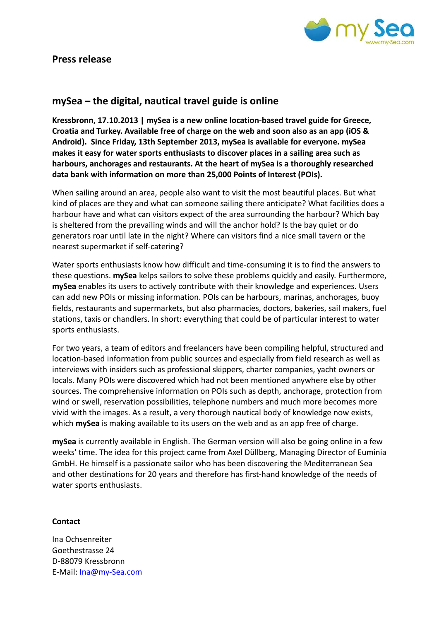

## **Press release**

## **mySea – the digital, nautical travel guide is online**

**Kressbronn, 17.10.2013 | mySea is a new online location-based travel guide for Greece, Croatia and Turkey. Available free of charge on the web and soon also as an app (iOS & Android). Since Friday, 13th September 2013, mySea is available for everyone. mySea makes it easy for water sports enthusiasts to discover places in a sailing area such as harbours, anchorages and restaurants. At the heart of mySea is a thoroughly researched data bank with information on more than 25,000 Points of Interest (POIs).** 

When sailing around an area, people also want to visit the most beautiful places. But what kind of places are they and what can someone sailing there anticipate? What facilities does a harbour have and what can visitors expect of the area surrounding the harbour? Which bay is sheltered from the prevailing winds and will the anchor hold? Is the bay quiet or do generators roar until late in the night? Where can visitors find a nice small tavern or the nearest supermarket if self-catering?

Water sports enthusiasts know how difficult and time-consuming it is to find the answers to these questions. **mySea** kelps sailors to solve these problems quickly and easily. Furthermore, **mySea** enables its users to actively contribute with their knowledge and experiences. Users can add new POIs or missing information. POIs can be harbours, marinas, anchorages, buoy fields, restaurants and supermarkets, but also pharmacies, doctors, bakeries, sail makers, fuel stations, taxis or chandlers. In short: everything that could be of particular interest to water sports enthusiasts.

For two years, a team of editors and freelancers have been compiling helpful, structured and location-based information from public sources and especially from field research as well as interviews with insiders such as professional skippers, charter companies, yacht owners or locals. Many POIs were discovered which had not been mentioned anywhere else by other sources. The comprehensive information on POIs such as depth, anchorage, protection from wind or swell, reservation possibilities, telephone numbers and much more becomes more vivid with the images. As a result, a very thorough nautical body of knowledge now exists, which **mySea** is making available to its users on the web and as an app free of charge.

**mySea** is currently available in English. The German version will also be going online in a few weeks' time. The idea for this project came from Axel Düllberg, Managing Director of Euminia GmbH. He himself is a passionate sailor who has been discovering the Mediterranean Sea and other destinations for 20 years and therefore has first-hand knowledge of the needs of water sports enthusiasts.

## **Contact**

Ina Ochsenreiter Goethestrasse 24 D-88079 Kressbronn E-Mail: [Ina@my-Sea.com](mailto:Ina@my-Sea.com)